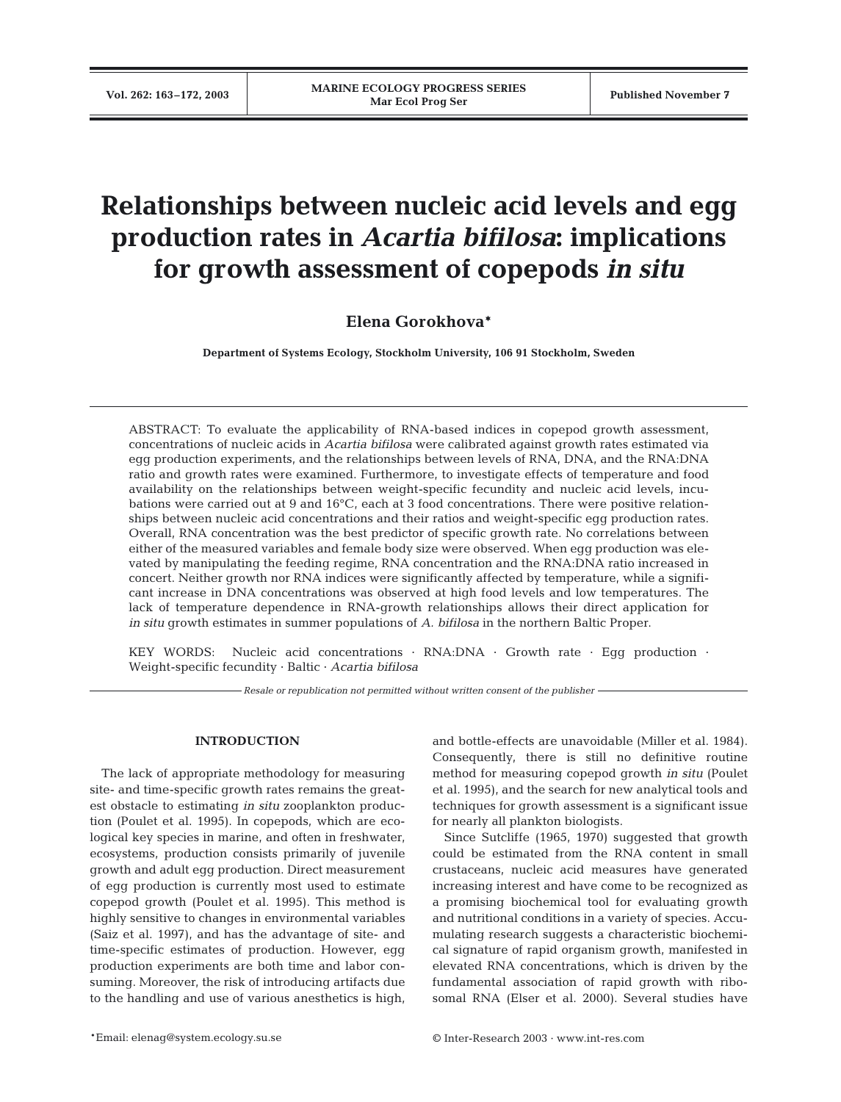# **Relationships between nucleic acid levels and egg production rates in** *Acartia bifilosa***: implications for growth assessment of copepods** *in situ*

# **Elena Gorokhova\***

**Department of Systems Ecology, Stockholm University, 106 91 Stockholm, Sweden**

ABSTRACT: To evaluate the applicability of RNA-based indices in copepod growth assessment, concentrations of nucleic acids in *Acartia bifilosa* were calibrated against growth rates estimated via egg production experiments, and the relationships between levels of RNA, DNA, and the RNA:DNA ratio and growth rates were examined. Furthermore, to investigate effects of temperature and food availability on the relationships between weight-specific fecundity and nucleic acid levels, incubations were carried out at 9 and 16°C, each at 3 food concentrations. There were positive relationships between nucleic acid concentrations and their ratios and weight-specific egg production rates. Overall, RNA concentration was the best predictor of specific growth rate. No correlations between either of the measured variables and female body size were observed. When egg production was elevated by manipulating the feeding regime, RNA concentration and the RNA:DNA ratio increased in concert. Neither growth nor RNA indices were significantly affected by temperature, while a significant increase in DNA concentrations was observed at high food levels and low temperatures. The lack of temperature dependence in RNA-growth relationships allows their direct application for *in situ* growth estimates in summer populations of *A. bifilosa* in the northern Baltic Proper.

KEY WORDS: Nucleic acid concentrations  $\cdot$  RNA:DNA  $\cdot$  Growth rate  $\cdot$  Eqg production  $\cdot$ Weight-specific fecundity · Baltic · *Acartia bifilosa*

*Resale or republication not permitted without written consent of the publisher*

# **INTRODUCTION**

The lack of appropriate methodology for measuring site- and time-specific growth rates remains the greatest obstacle to estimating *in situ* zooplankton production (Poulet et al. 1995). In copepods, which are ecological key species in marine, and often in freshwater, ecosystems, production consists primarily of juvenile growth and adult egg production. Direct measurement of egg production is currently most used to estimate copepod growth (Poulet et al. 1995). This method is highly sensitive to changes in environmental variables (Saiz et al. 1997), and has the advantage of site- and time-specific estimates of production. However, egg production experiments are both time and labor consuming. Moreover, the risk of introducing artifacts due to the handling and use of various anesthetics is high,

and bottle-effects are unavoidable (Miller et al. 1984). Consequently, there is still no definitive routine method for measuring copepod growth *in situ* (Poulet et al. 1995), and the search for new analytical tools and techniques for growth assessment is a significant issue for nearly all plankton biologists.

Since Sutcliffe (1965, 1970) suggested that growth could be estimated from the RNA content in small crustaceans, nucleic acid measures have generated increasing interest and have come to be recognized as a promising biochemical tool for evaluating growth and nutritional conditions in a variety of species. Accumulating research suggests a characteristic biochemical signature of rapid organism growth, manifested in elevated RNA concentrations, which is driven by the fundamental association of rapid growth with ribosomal RNA (Elser et al. 2000). Several studies have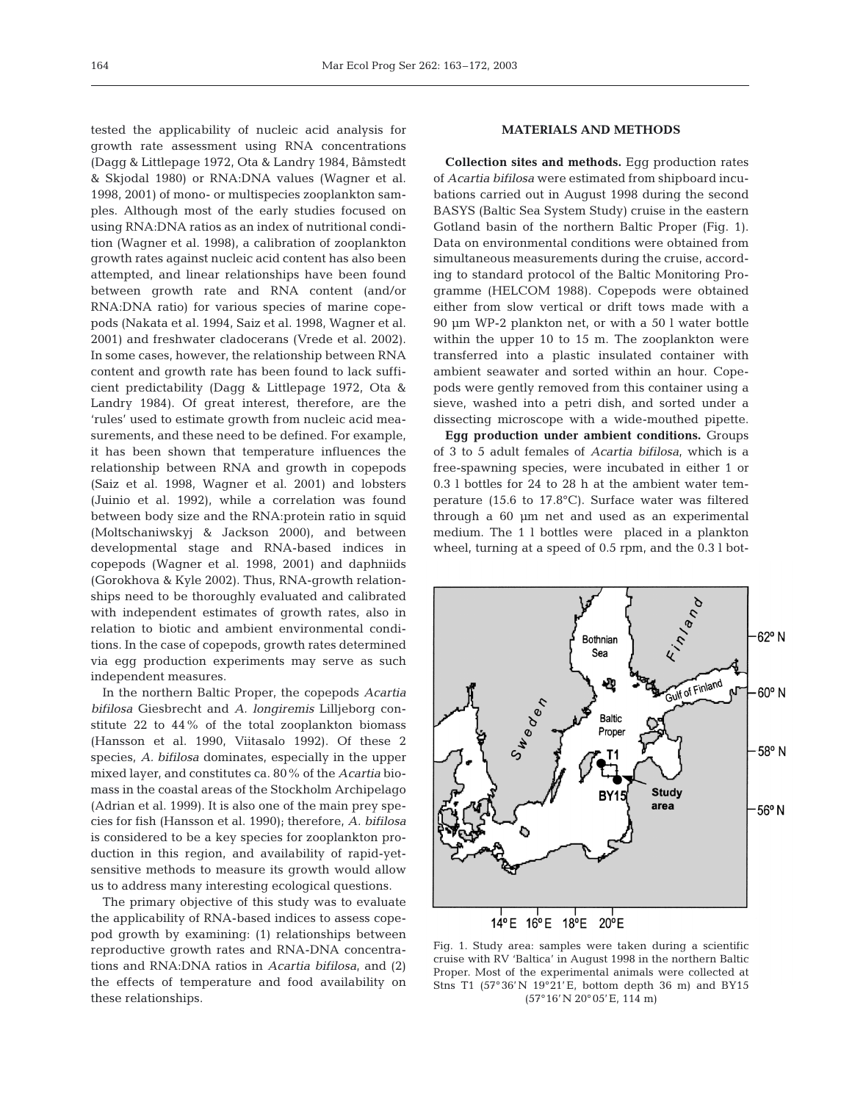tested the applicability of nucleic acid analysis for growth rate assessment using RNA concentrations (Dagg & Littlepage 1972, Ota & Landry 1984, Båmstedt & Skjodal 1980) or RNA:DNA values (Wagner et al. 1998, 2001) of mono- or multispecies zooplankton samples. Although most of the early studies focused on using RNA:DNA ratios as an index of nutritional condition (Wagner et al. 1998), a calibration of zooplankton growth rates against nucleic acid content has also been attempted, and linear relationships have been found between growth rate and RNA content (and/or RNA:DNA ratio) for various species of marine copepods (Nakata et al. 1994, Saiz et al. 1998, Wagner et al. 2001) and freshwater cladocerans (Vrede et al. 2002). In some cases, however, the relationship between RNA content and growth rate has been found to lack sufficient predictability (Dagg & Littlepage 1972, Ota & Landry 1984). Of great interest, therefore, are the 'rules' used to estimate growth from nucleic acid measurements, and these need to be defined. For example, it has been shown that temperature influences the relationship between RNA and growth in copepods (Saiz et al. 1998, Wagner et al. 2001) and lobsters (Juinio et al. 1992), while a correlation was found between body size and the RNA:protein ratio in squid (Moltschaniwskyj & Jackson 2000), and between developmental stage and RNA-based indices in copepods (Wagner et al. 1998, 2001) and daphniids (Gorokhova & Kyle 2002). Thus, RNA-growth relationships need to be thoroughly evaluated and calibrated with independent estimates of growth rates, also in relation to biotic and ambient environmental conditions. In the case of copepods, growth rates determined via egg production experiments may serve as such independent measures.

In the northern Baltic Proper, the copepods *Acartia bifilosa* Giesbrecht and *A. longiremis* Lilljeborg constitute 22 to 44% of the total zooplankton biomass (Hansson et al. 1990, Viitasalo 1992). Of these 2 species, *A. bifilosa* dominates, especially in the upper mixed layer, and constitutes ca. 80% of the *Acartia* biomass in the coastal areas of the Stockholm Archipelago (Adrian et al. 1999). It is also one of the main prey species for fish (Hansson et al. 1990); therefore, *A. bifilosa* is considered to be a key species for zooplankton production in this region, and availability of rapid-yetsensitive methods to measure its growth would allow us to address many interesting ecological questions.

The primary objective of this study was to evaluate the applicability of RNA-based indices to assess copepod growth by examining: (1) relationships between reproductive growth rates and RNA-DNA concentrations and RNA:DNA ratios in *Acartia bifilosa*, and (2) the effects of temperature and food availability on these relationships.

### **MATERIALS AND METHODS**

**Collection sites and methods.** Egg production rates of *Acartia bifilosa* were estimated from shipboard incubations carried out in August 1998 during the second BASYS (Baltic Sea System Study) cruise in the eastern Gotland basin of the northern Baltic Proper (Fig. 1). Data on environmental conditions were obtained from simultaneous measurements during the cruise, according to standard protocol of the Baltic Monitoring Programme (HELCOM 1988). Copepods were obtained either from slow vertical or drift tows made with a 90 µm WP-2 plankton net, or with a 50 l water bottle within the upper 10 to 15 m. The zooplankton were transferred into a plastic insulated container with ambient seawater and sorted within an hour. Copepods were gently removed from this container using a sieve, washed into a petri dish, and sorted under a dissecting microscope with a wide-mouthed pipette.

**Egg production under ambient conditions.** Groups of 3 to 5 adult females of *Acartia bifilosa*, which is a free-spawning species, were incubated in either 1 or 0.3 l bottles for 24 to 28 h at the ambient water temperature (15.6 to 17.8°C). Surface water was filtered through a 60 µm net and used as an experimental medium. The 1 l bottles were placed in a plankton wheel, turning at a speed of 0.5 rpm, and the 0.3 l bot-



Fig. 1. Study area: samples were taken during a scientific cruise with RV 'Baltica' in August 1998 in the northern Baltic Proper. Most of the experimental animals were collected at Stns T1 (57°36'N 19°21'E, bottom depth 36 m) and BY15 (57°16'N 20°05'E, 114 m)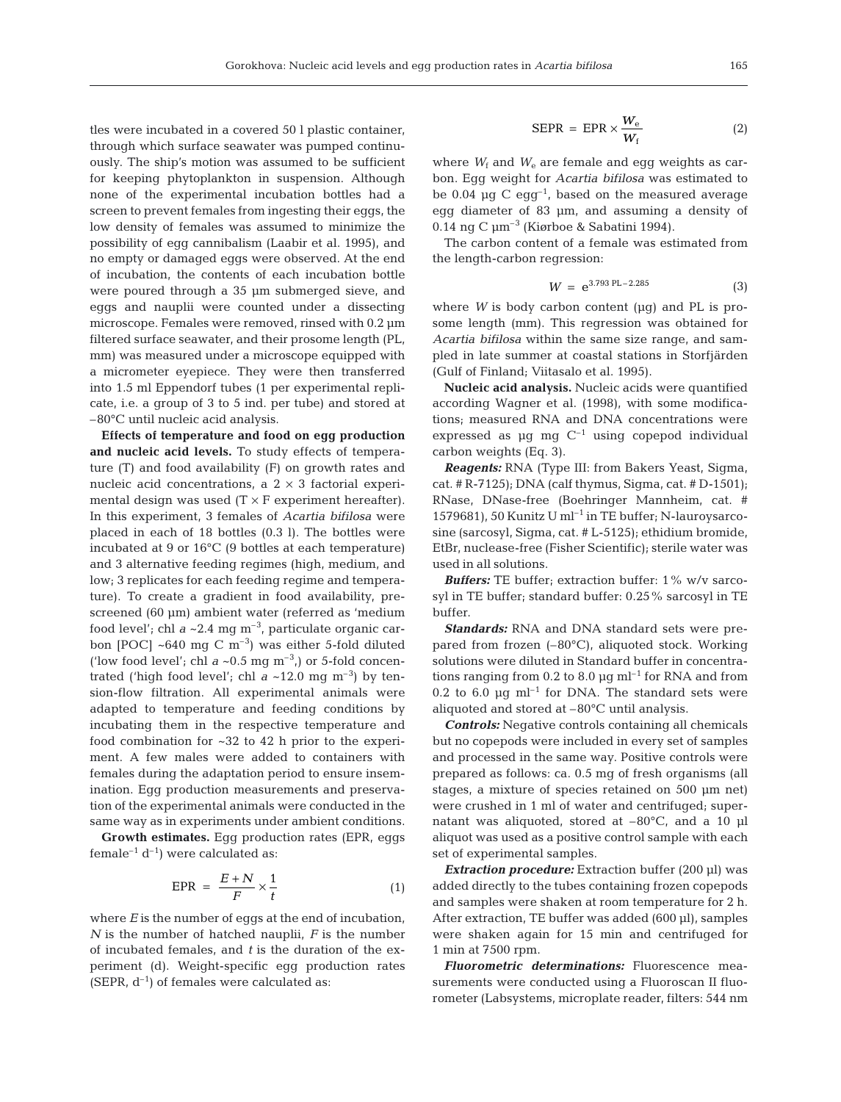tles were incubated in a covered 50 l plastic container, through which surface seawater was pumped continuously. The ship's motion was assumed to be sufficient for keeping phytoplankton in suspension. Although none of the experimental incubation bottles had a screen to prevent females from ingesting their eggs, the low density of females was assumed to minimize the possibility of egg cannibalism (Laabir et al. 1995), and no empty or damaged eggs were observed. At the end of incubation, the contents of each incubation bottle were poured through a 35 µm submerged sieve, and eggs and nauplii were counted under a dissecting microscope. Females were removed, rinsed with 0.2 µm filtered surface seawater, and their prosome length (PL, mm) was measured under a microscope equipped with a micrometer eyepiece. They were then transferred into 1.5 ml Eppendorf tubes (1 per experimental replicate, i.e. a group of 3 to 5 ind. per tube) and stored at –80°C until nucleic acid analysis.

**Effects of temperature and food on egg production and nucleic acid levels.** To study effects of temperature (T) and food availability (F) on growth rates and nucleic acid concentrations, a  $2 \times 3$  factorial experimental design was used  $(T \times F$  experiment hereafter). In this experiment, 3 females of *Acartia bifilosa* were placed in each of 18 bottles (0.3 l). The bottles were incubated at 9 or 16°C (9 bottles at each temperature) and 3 alternative feeding regimes (high, medium, and low; 3 replicates for each feeding regime and temperature). To create a gradient in food availability, prescreened (60 µm) ambient water (referred as 'medium food level'; chl  $a \sim 2.4$  mg m<sup>-3</sup>, particulate organic carbon [POC]  $\sim$  640 mg C m<sup>-3</sup>) was either 5-fold diluted ('low food level'; chl  $a \sim 0.5$  mg m<sup>-3</sup>,) or 5-fold concentrated ('high food level'; chl  $a \sim 12.0$  mg m<sup>-3</sup>) by tension-flow filtration. All experimental animals were adapted to temperature and feeding conditions by incubating them in the respective temperature and food combination for ~32 to 42 h prior to the experiment. A few males were added to containers with females during the adaptation period to ensure insemination. Egg production measurements and preservation of the experimental animals were conducted in the same way as in experiments under ambient conditions.

**Growth estimates.** Egg production rates (EPR, eggs female<sup>-1</sup>  $d^{-1}$ ) were calculated as:

$$
EPR = \frac{E + N}{F} \times \frac{1}{t}
$$
 (1)

where *E* is the number of eggs at the end of incubation, *N* is the number of hatched nauplii, *F* is the number of incubated females, and *t* is the duration of the experiment (d). Weight-specific egg production rates (SEPR,  $d^{-1}$ ) of females were calculated as:

$$
SEPR = EPR \times \frac{W_e}{W_f}
$$
 (2)

where  $W_f$  and  $W_e$  are female and egg weights as carbon. Egg weight for *Acartia bifilosa* was estimated to be 0.04  $\mu$ g C egg<sup>-1</sup>, based on the measured average egg diameter of 83 µm, and assuming a density of 0.14 ng C µm–3 (Kiørboe & Sabatini 1994).

The carbon content of a female was estimated from the length-carbon regression:

$$
W = e^{3.793 \text{ PL} - 2.285} \tag{3}
$$

where  $W$  is body carbon content ( $\mu$ g) and PL is prosome length (mm). This regression was obtained for *Acartia bifilosa* within the same size range, and sampled in late summer at coastal stations in Storfjärden (Gulf of Finland; Viitasalo et al. 1995).

**Nucleic acid analysis.** Nucleic acids were quantified according Wagner et al. (1998), with some modifications; measured RNA and DNA concentrations were expressed as  $\mu$ g mg  $C^{-1}$  using copepod individual carbon weights (Eq. 3).

*Reagents:* RNA (Type III: from Bakers Yeast, Sigma, cat. # R-7125); DNA (calf thymus, Sigma, cat. # D-1501); RNase, DNase-free (Boehringer Mannheim, cat. # 1579681), 50 Kunitz U ml–1 in TE buffer; N-lauroysarcosine (sarcosyl, Sigma, cat. # L-5125); ethidium bromide, EtBr, nuclease-free (Fisher Scientific); sterile water was used in all solutions.

*Buffers:* TE buffer; extraction buffer: 1% w/v sarcosyl in TE buffer; standard buffer: 0.25% sarcosyl in TE buffer.

*Standards:* RNA and DNA standard sets were prepared from frozen (–80°C), aliquoted stock. Working solutions were diluted in Standard buffer in concentrations ranging from 0.2 to 8.0  $\mu$ g ml<sup>-1</sup> for RNA and from 0.2 to 6.0  $\mu$ g ml<sup>-1</sup> for DNA. The standard sets were aliquoted and stored at –80°C until analysis.

*Controls:* Negative controls containing all chemicals but no copepods were included in every set of samples and processed in the same way. Positive controls were prepared as follows: ca. 0.5 mg of fresh organisms (all stages, a mixture of species retained on 500 µm net) were crushed in 1 ml of water and centrifuged; supernatant was aliquoted, stored at –80°C, and a 10 µl aliquot was used as a positive control sample with each set of experimental samples.

*Extraction procedure:* Extraction buffer (200 µl) was added directly to the tubes containing frozen copepods and samples were shaken at room temperature for 2 h. After extraction, TE buffer was added (600 µl), samples were shaken again for 15 min and centrifuged for 1 min at 7500 rpm.

*Fluorometric determinations:* Fluorescence measurements were conducted using a Fluoroscan II fluorometer (Labsystems, microplate reader, filters: 544 nm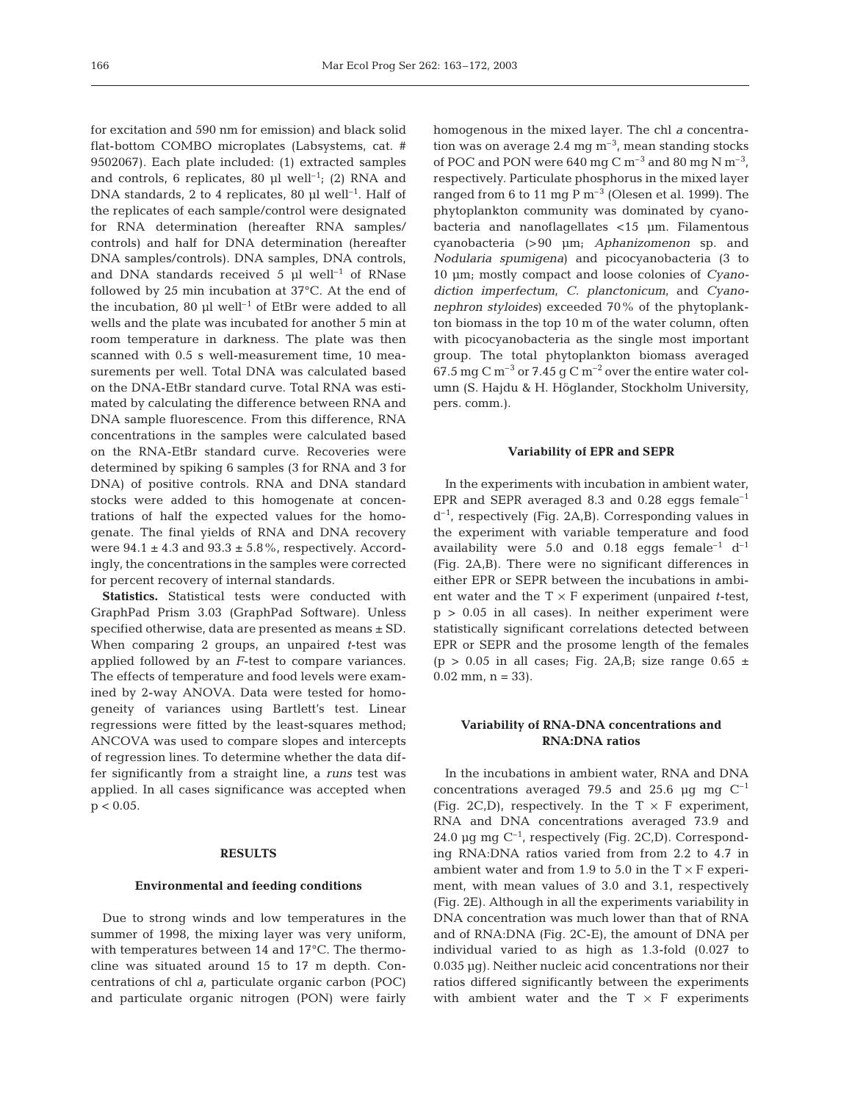for excitation and 590 nm for emission) and black solid flat-bottom COMBO microplates (Labsystems, cat. # 9502067). Each plate included: (1) extracted samples and controls, 6 replicates, 80  $\mu$ l well<sup>-1</sup>; (2) RNA and DNA standards, 2 to 4 replicates, 80  $\mu$ l well<sup>-1</sup>. Half of the replicates of each sample/control were designated for RNA determination (hereafter RNA samples/ controls) and half for DNA determination (hereafter DNA samples/controls). DNA samples, DNA controls, and DNA standards received  $5 \text{ pl}$  well<sup>-1</sup> of RNase followed by 25 min incubation at 37°C. At the end of the incubation, 80  $\mu$ l well<sup>-1</sup> of EtBr were added to all wells and the plate was incubated for another 5 min at room temperature in darkness. The plate was then scanned with 0.5 s well-measurement time, 10 measurements per well. Total DNA was calculated based on the DNA-EtBr standard curve. Total RNA was estimated by calculating the difference between RNA and DNA sample fluorescence. From this difference, RNA concentrations in the samples were calculated based on the RNA-EtBr standard curve. Recoveries were determined by spiking 6 samples (3 for RNA and 3 for DNA) of positive controls. RNA and DNA standard stocks were added to this homogenate at concentrations of half the expected values for the homogenate. The final yields of RNA and DNA recovery were  $94.1 \pm 4.3$  and  $93.3 \pm 5.8$ %, respectively. Accordingly, the concentrations in the samples were corrected for percent recovery of internal standards.

**Statistics.** Statistical tests were conducted with GraphPad Prism 3.03 (GraphPad Software). Unless specified otherwise, data are presented as means ± SD. When comparing 2 groups, an unpaired *t*-test was applied followed by an *F*-test to compare variances. The effects of temperature and food levels were examined by 2-way ANOVA. Data were tested for homogeneity of variances using Bartlett's test. Linear regressions were fitted by the least-squares method; ANCOVA was used to compare slopes and intercepts of regression lines. To determine whether the data differ significantly from a straight line, a *runs* test was applied. In all cases significance was accepted when  $p < 0.05$ .

#### **RESULTS**

# **Environmental and feeding conditions**

Due to strong winds and low temperatures in the summer of 1998, the mixing layer was very uniform, with temperatures between 14 and 17°C. The thermocline was situated around 15 to 17 m depth. Concentrations of chl *a*, particulate organic carbon (POC) and particulate organic nitrogen (PON) were fairly homogenous in the mixed layer. The chl *a* concentration was on average 2.4 mg  $\mathrm{m}^{-3}$ , mean standing stocks of POC and PON were  $640 \text{ mg C m}^{-3}$  and  $80 \text{ mg N m}^{-3}$ , respectively. Particulate phosphorus in the mixed layer ranged from 6 to 11 mg  $P m<sup>-3</sup>$  (Olesen et al. 1999). The phytoplankton community was dominated by cyanobacteria and nanoflagellates <15 µm. Filamentous cyanobacteria (>90 µm; *Aphanizomenon* sp. and *Nodularia spumigena*) and picocyanobacteria (3 to 10 µm; mostly compact and loose colonies of *Cyanodiction imperfectum*, *C. planctonicum*, and *Cyanonephron styloides*) exceeded 70% of the phytoplankton biomass in the top 10 m of the water column, often with picocyanobacteria as the single most important group. The total phytoplankton biomass averaged 67.5 mg C m<sup>-3</sup> or 7.45 g C m<sup>-2</sup> over the entire water column (S. Hajdu & H. Höglander, Stockholm University, pers. comm.).

#### **Variability of EPR and SEPR**

In the experiments with incubation in ambient water, EPR and SEPR averaged 8.3 and 0.28 eggs  $f$ emale<sup>-1</sup>  $d^{-1}$ , respectively (Fig. 2A,B). Corresponding values in the experiment with variable temperature and food availability were 5.0 and 0.18 eggs female<sup>-1</sup>  $d^{-1}$ (Fig. 2A,B). There were no significant differences in either EPR or SEPR between the incubations in ambient water and the  $T \times F$  experiment (unpaired *t*-test,  $p > 0.05$  in all cases). In neither experiment were statistically significant correlations detected between EPR or SEPR and the prosome length of the females (p > 0.05 in all cases; Fig. 2A,B; size range  $0.65 \pm$  $0.02$  mm,  $n = 33$ ).

# **Variability of RNA-DNA concentrations and RNA:DNA ratios**

In the incubations in ambient water, RNA and DNA concentrations averaged 79.5 and 25.6  $\mu$ g mg C<sup>-1</sup> (Fig. 2C,D), respectively. In the  $T \times F$  experiment, RNA and DNA concentrations averaged 73.9 and 24.0 µg mg  $C^{-1}$ , respectively (Fig. 2C<sub>,</sub>D). Corresponding RNA:DNA ratios varied from from 2.2 to 4.7 in ambient water and from 1.9 to 5.0 in the  $T \times F$  experiment, with mean values of 3.0 and 3.1, respectively (Fig. 2E). Although in all the experiments variability in DNA concentration was much lower than that of RNA and of RNA:DNA (Fig. 2C-E), the amount of DNA per individual varied to as high as 1.3-fold (0.027 to 0.035 µg). Neither nucleic acid concentrations nor their ratios differed significantly between the experiments with ambient water and the  $T \times F$  experiments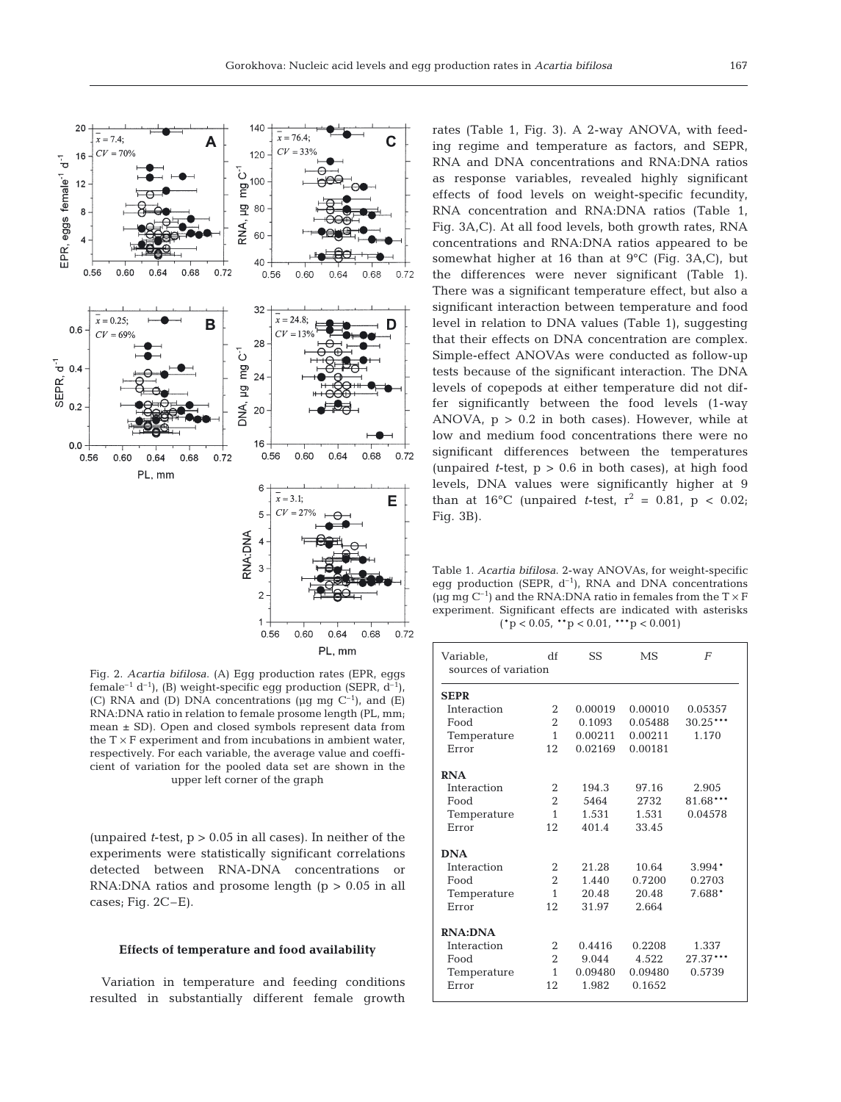

Fig. 2. *Acartia bifilosa*. (A) Egg production rates (EPR, eggs female<sup>-1</sup> d<sup>-1</sup>), (B) weight-specific egg production (SEPR,  $d^{-1}$ ), (C) RNA and (D) DNA concentrations ( $\mu$ g mg C<sup>-1</sup>), and (E) RNA:DNA ratio in relation to female prosome length (PL, mm; mean ± SD). Open and closed symbols represent data from the  $T \times F$  experiment and from incubations in ambient water, respectively. For each variable, the average value and coefficient of variation for the pooled data set are shown in the upper left corner of the graph

(unpaired  $t$ -test,  $p > 0.05$  in all cases). In neither of the experiments were statistically significant correlations detected between RNA-DNA concentrations or RNA:DNA ratios and prosome length  $(p > 0.05$  in all cases; Fig. 2C–E).

#### **Effects of temperature and food availability**

Variation in temperature and feeding conditions resulted in substantially different female growth

rates (Table 1, Fig. 3). A 2-way ANOVA, with feeding regime and temperature as factors, and SEPR, RNA and DNA concentrations and RNA:DNA ratios as response variables, revealed highly significant effects of food levels on weight-specific fecundity, RNA concentration and RNA:DNA ratios (Table 1, Fig. 3A,C). At all food levels, both growth rates, RNA concentrations and RNA:DNA ratios appeared to be somewhat higher at 16 than at 9°C (Fig. 3A,C), but the differences were never significant (Table 1). There was a significant temperature effect, but also a significant interaction between temperature and food level in relation to DNA values (Table 1), suggesting that their effects on DNA concentration are complex. Simple-effect ANOVAs were conducted as follow-up tests because of the significant interaction. The DNA levels of copepods at either temperature did not differ significantly between the food levels (1-way ANOVA,  $p > 0.2$  in both cases). However, while at low and medium food concentrations there were no significant differences between the temperatures (unpaired  $t$ -test,  $p > 0.6$  in both cases), at high food levels, DNA values were significantly higher at 9 than at 16°C (unpaired *t*-test,  $r^2 = 0.81$ ,  $p < 0.02$ ; Fig. 3B).

Table 1. *Acartia bifilosa*. 2-way ANOVAs, for weight-specific egg production (SEPR,  $d^{-1}$ ), RNA and DNA concentrations ( $\mu$ g mg C<sup>-1</sup>) and the RNA:DNA ratio in females from the T  $\times$  F experiment. Significant effects are indicated with asterisks  $({^*p} < 0.05, {^{**p}} < 0.01, {^{***p}} < 0.001)$ 

| Variable,            | df             | SS      | MS      | F          |  |  |  |  |  |
|----------------------|----------------|---------|---------|------------|--|--|--|--|--|
| sources of variation |                |         |         |            |  |  |  |  |  |
|                      |                |         |         |            |  |  |  |  |  |
| <b>SEPR</b>          |                |         |         |            |  |  |  |  |  |
| Interaction          | 2              | 0.00019 | 0.00010 | 0.05357    |  |  |  |  |  |
| Food                 | $\overline{2}$ | 0.1093  | 0.05488 | $30.25***$ |  |  |  |  |  |
| Temperature          | $\mathbf{1}$   | 0.00211 | 0.00211 | 1.170      |  |  |  |  |  |
| Error                | 12             | 0.02169 | 0.00181 |            |  |  |  |  |  |
|                      |                |         |         |            |  |  |  |  |  |
| <b>RNA</b>           |                |         |         |            |  |  |  |  |  |
| Interaction          | $\overline{2}$ | 194.3   | 97.16   | 2.905      |  |  |  |  |  |
| Food                 | $\overline{2}$ | 5464    | 2732    | 81.68***   |  |  |  |  |  |
| Temperature          | $\mathbf{1}$   | 1.531   | 1.531   | 0.04578    |  |  |  |  |  |
| Error                | 12             | 401.4   | 33.45   |            |  |  |  |  |  |
|                      |                |         |         |            |  |  |  |  |  |
| <b>DNA</b>           |                |         |         |            |  |  |  |  |  |
| Interaction          | 2              | 21.28   | 10.64   | $3.994*$   |  |  |  |  |  |
| Food                 | $\overline{2}$ | 1.440   | 0.7200  | 0.2703     |  |  |  |  |  |
| Temperature          | $\mathbf{1}$   | 20.48   | 20.48   | 7.688*     |  |  |  |  |  |
| Error                | 12             | 31.97   | 2.664   |            |  |  |  |  |  |
|                      |                |         |         |            |  |  |  |  |  |
| <b>RNA:DNA</b>       |                |         |         |            |  |  |  |  |  |
| Interaction          | 2              | 0.4416  | 0.2208  | 1.337      |  |  |  |  |  |
| Food                 | $\overline{2}$ | 9.044   | 4.522   | 27.37***   |  |  |  |  |  |
| Temperature          | $\mathbf{1}$   | 0.09480 | 0.09480 | 0.5739     |  |  |  |  |  |
| Error                | 12             | 1.982   | 0.1652  |            |  |  |  |  |  |
|                      |                |         |         |            |  |  |  |  |  |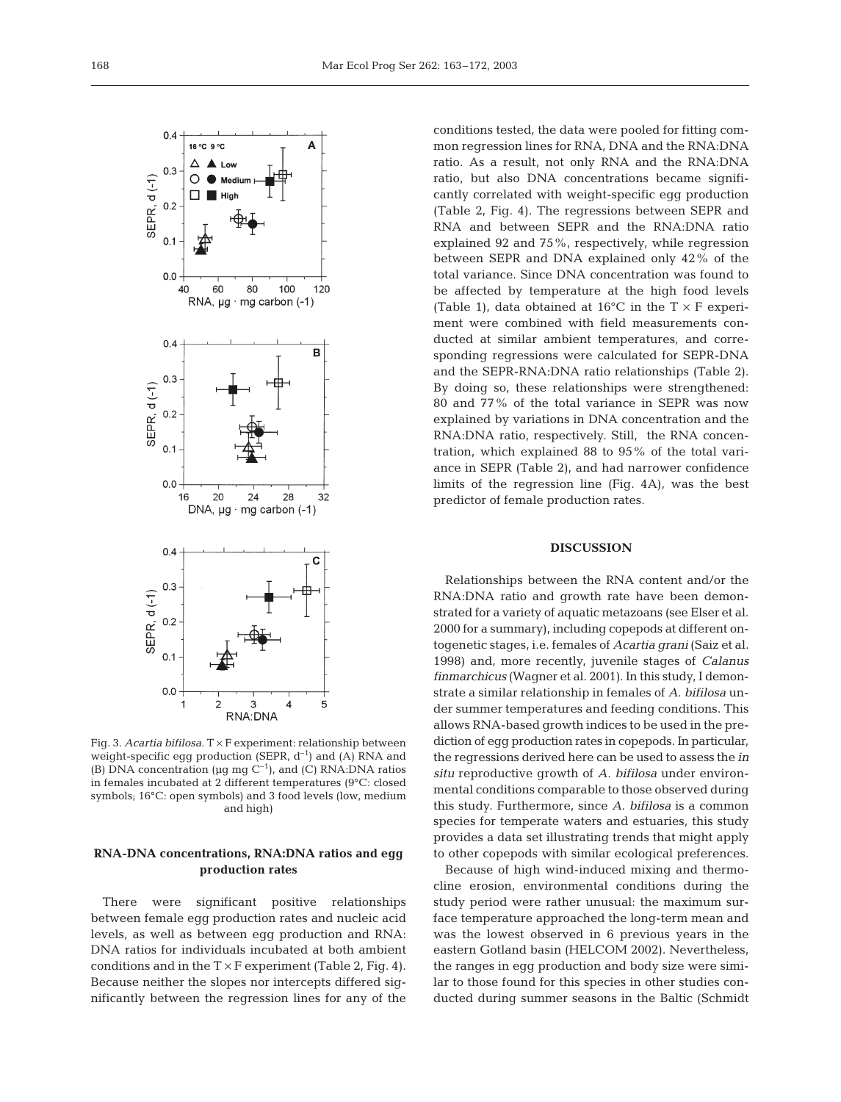

Fig. 3. *Acartia bifilosa*. T × F experiment: relationship between weight-specific egg production (SEPR,  $d^{-1}$ ) and (A) RNA and (B) DNA concentration ( $\mu$ g mg C<sup>-1</sup>), and (C) RNA:DNA ratios in females incubated at 2 different temperatures (9°C: closed symbols; 16°C: open symbols) and 3 food levels (low, medium and high)

# **RNA-DNA concentrations, RNA:DNA ratios and egg production rates**

There were significant positive relationships between female egg production rates and nucleic acid levels, as well as between egg production and RNA: DNA ratios for individuals incubated at both ambient conditions and in the  $T \times F$  experiment (Table 2, Fig. 4). Because neither the slopes nor intercepts differed significantly between the regression lines for any of the conditions tested, the data were pooled for fitting common regression lines for RNA, DNA and the RNA:DNA ratio. As a result, not only RNA and the RNA:DNA ratio, but also DNA concentrations became significantly correlated with weight-specific egg production (Table 2, Fig. 4). The regressions between SEPR and RNA and between SEPR and the RNA:DNA ratio explained 92 and 75%, respectively, while regression between SEPR and DNA explained only 42% of the total variance. Since DNA concentration was found to be affected by temperature at the high food levels (Table 1), data obtained at 16 $\rm ^{o}C$  in the T  $\times$  F experiment were combined with field measurements conducted at similar ambient temperatures, and corresponding regressions were calculated for SEPR-DNA and the SEPR-RNA:DNA ratio relationships (Table 2). By doing so, these relationships were strengthened: 80 and 77% of the total variance in SEPR was now explained by variations in DNA concentration and the RNA:DNA ratio, respectively. Still, the RNA concentration, which explained 88 to 95% of the total variance in SEPR (Table 2), and had narrower confidence limits of the regression line (Fig. 4A), was the best predictor of female production rates.

# **DISCUSSION**

Relationships between the RNA content and/or the RNA:DNA ratio and growth rate have been demonstrated for a variety of aquatic metazoans (see Elser et al. 2000 for a summary), including copepods at different ontogenetic stages, i.e. females of *Acartia grani* (Saiz et al. 1998) and, more recently, juvenile stages of *Calanus finmarchicus* (Wagner et al. 2001). In this study, I demonstrate a similar relationship in females of *A. bifilosa* under summer temperatures and feeding conditions. This allows RNA-based growth indices to be used in the prediction of egg production rates in copepods. In particular, the regressions derived here can be used to assess the *in situ* reproductive growth of *A. bifilosa* under environmental conditions comparable to those observed during this study. Furthermore, since *A. bifilosa* is a common species for temperate waters and estuaries, this study provides a data set illustrating trends that might apply to other copepods with similar ecological preferences.

Because of high wind-induced mixing and thermocline erosion, environmental conditions during the study period were rather unusual: the maximum surface temperature approached the long-term mean and was the lowest observed in 6 previous years in the eastern Gotland basin (HELCOM 2002). Nevertheless, the ranges in egg production and body size were similar to those found for this species in other studies conducted during summer seasons in the Baltic (Schmidt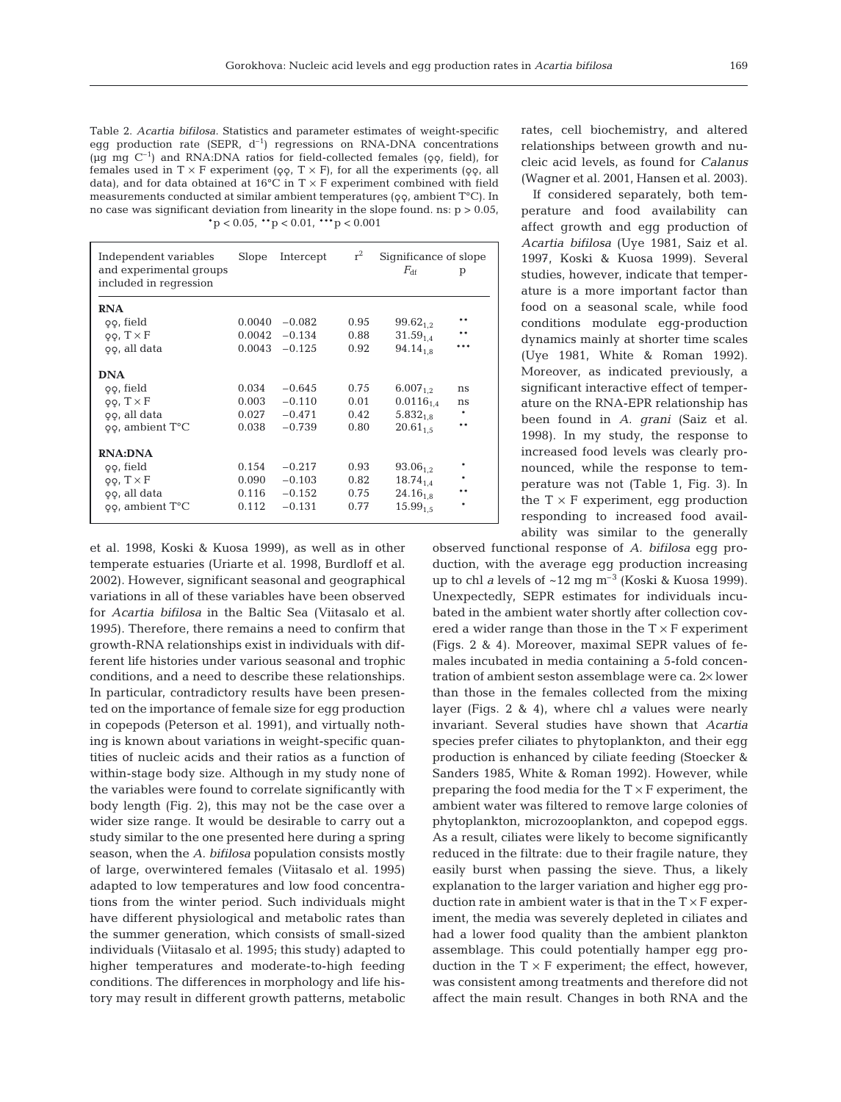Table 2. *Acartia bifilosa*. Statistics and parameter estimates of weight-specific egg production rate (SEPR,  $d^{-1}$ ) regressions on RNA-DNA concentrations (µg mg  $C^{-1}$ ) and RNA:DNA ratios for field-collected females ( $\varphi$ , field), for females used in  $T \times F$  experiment ( $\varphi \varphi$ ,  $T \times F$ ), for all the experiments ( $\varphi \varphi$ , all data), and for data obtained at 16 $\degree$ C in T  $\times$  F experiment combined with field measurements conducted at similar ambient temperatures ( $\varphi$ , ambient T°C). In no case was significant deviation from linearity in the slope found. ns:  $p > 0.05$ ,  $*p < 0.05$ ,  $* p < 0.01$ ,  $* * p < 0.001$ 

| Independent variables<br>and experimental groups<br>included in regression | Slope  | Intercept | $r^2$ | Significance of slope<br>$F_{\rm df}$ | p      |
|----------------------------------------------------------------------------|--------|-----------|-------|---------------------------------------|--------|
| <b>RNA</b>                                                                 |        |           |       |                                       |        |
| 99, field                                                                  | 0.0040 | $-0.082$  | 0.95  | $99.62_{1.2}$                         | * *    |
| $99, T \times F$                                                           | 0.0042 | $-0.134$  | 0.88  | $31.59$ <sub>14</sub>                 | $**$   |
| 99, all data                                                               | 0.0043 | $-0.125$  | 0.92  | $94.14_{1.8}$                         |        |
| <b>DNA</b>                                                                 |        |           |       |                                       |        |
| 99, field                                                                  | 0.034  | $-0.645$  | 0.75  | $6.007_{12}$                          | ns     |
| $99, T \times F$                                                           | 0.003  | $-0.110$  | 0.01  | $0.0116_{1.4}$                        | ns     |
| 99, all data                                                               | 0.027  | $-0.471$  | 0.42  | $5.832_{1.8}$                         |        |
| 99, ambient T°C                                                            | 0.038  | $-0.739$  | 0.80  | $20.61_{1.5}$                         | $\ast$ |
| <b>RNA:DNA</b>                                                             |        |           |       |                                       |        |
| 99, field                                                                  | 0.154  | $-0.217$  | 0.93  | $93.06_{1.2}$                         | *      |
| $99, T \times F$                                                           | 0.090  | $-0.103$  | 0.82  | $18.74_{1.4}$                         |        |
| 99, all data                                                               | 0.116  | $-0.152$  | 0.75  | $24.16_{1.8}$                         | **     |
| $\varphi$ , ambient $T^{\circ}C$                                           | 0.112  | $-0.131$  | 0.77  | $15.99_{1.5}$                         | $\ast$ |

et al. 1998, Koski & Kuosa 1999), as well as in other temperate estuaries (Uriarte et al. 1998, Burdloff et al. 2002). However, significant seasonal and geographical variations in all of these variables have been observed for *Acartia bifilosa* in the Baltic Sea (Viitasalo et al. 1995). Therefore, there remains a need to confirm that growth-RNA relationships exist in individuals with different life histories under various seasonal and trophic conditions, and a need to describe these relationships. In particular, contradictory results have been presented on the importance of female size for egg production in copepods (Peterson et al. 1991), and virtually nothing is known about variations in weight-specific quantities of nucleic acids and their ratios as a function of within-stage body size. Although in my study none of the variables were found to correlate significantly with body length (Fig. 2), this may not be the case over a wider size range. It would be desirable to carry out a study similar to the one presented here during a spring season, when the *A. bifilosa* population consists mostly of large, overwintered females (Viitasalo et al. 1995) adapted to low temperatures and low food concentrations from the winter period. Such individuals might have different physiological and metabolic rates than the summer generation, which consists of small-sized individuals (Viitasalo et al. 1995; this study) adapted to higher temperatures and moderate-to-high feeding conditions. The differences in morphology and life history may result in different growth patterns, metabolic rates, cell biochemistry, and altered relationships between growth and nucleic acid levels, as found for *Calanus* (Wagner et al. 2001, Hansen et al. 2003).

If considered separately, both temperature and food availability can affect growth and egg production of *Acartia bifilosa* (Uye 1981, Saiz et al. 1997, Koski & Kuosa 1999). Several studies, however, indicate that temperature is a more important factor than food on a seasonal scale, while food conditions modulate egg-production dynamics mainly at shorter time scales (Uye 1981, White & Roman 1992). Moreover, as indicated previously, a significant interactive effect of temperature on the RNA-EPR relationship has been found in *A. grani* (Saiz et al. 1998). In my study, the response to increased food levels was clearly pronounced, while the response to temperature was not (Table 1, Fig. 3). In the  $T \times F$  experiment, eqg production responding to increased food availability was similar to the generally

observed functional response of *A. bifilosa* egg production, with the average egg production increasing up to chl *a* levels of  $\sim$ 12 mg m<sup>-3</sup> (Koski & Kuosa 1999). Unexpectedly, SEPR estimates for individuals incubated in the ambient water shortly after collection covered a wider range than those in the  $T \times F$  experiment (Figs. 2 & 4). Moreover, maximal SEPR values of females incubated in media containing a 5-fold concentration of ambient seston assemblage were ca. 2× lower than those in the females collected from the mixing layer (Figs. 2 & 4), where chl *a* values were nearly invariant. Several studies have shown that *Acartia* species prefer ciliates to phytoplankton, and their egg production is enhanced by ciliate feeding (Stoecker & Sanders 1985, White & Roman 1992). However, while preparing the food media for the  $T \times F$  experiment, the ambient water was filtered to remove large colonies of phytoplankton, microzooplankton, and copepod eggs. As a result, ciliates were likely to become significantly reduced in the filtrate: due to their fragile nature, they easily burst when passing the sieve. Thus, a likely explanation to the larger variation and higher egg production rate in ambient water is that in the  $T \times F$  experiment, the media was severely depleted in ciliates and had a lower food quality than the ambient plankton assemblage. This could potentially hamper egg production in the  $T \times F$  experiment; the effect, however, was consistent among treatments and therefore did not affect the main result. Changes in both RNA and the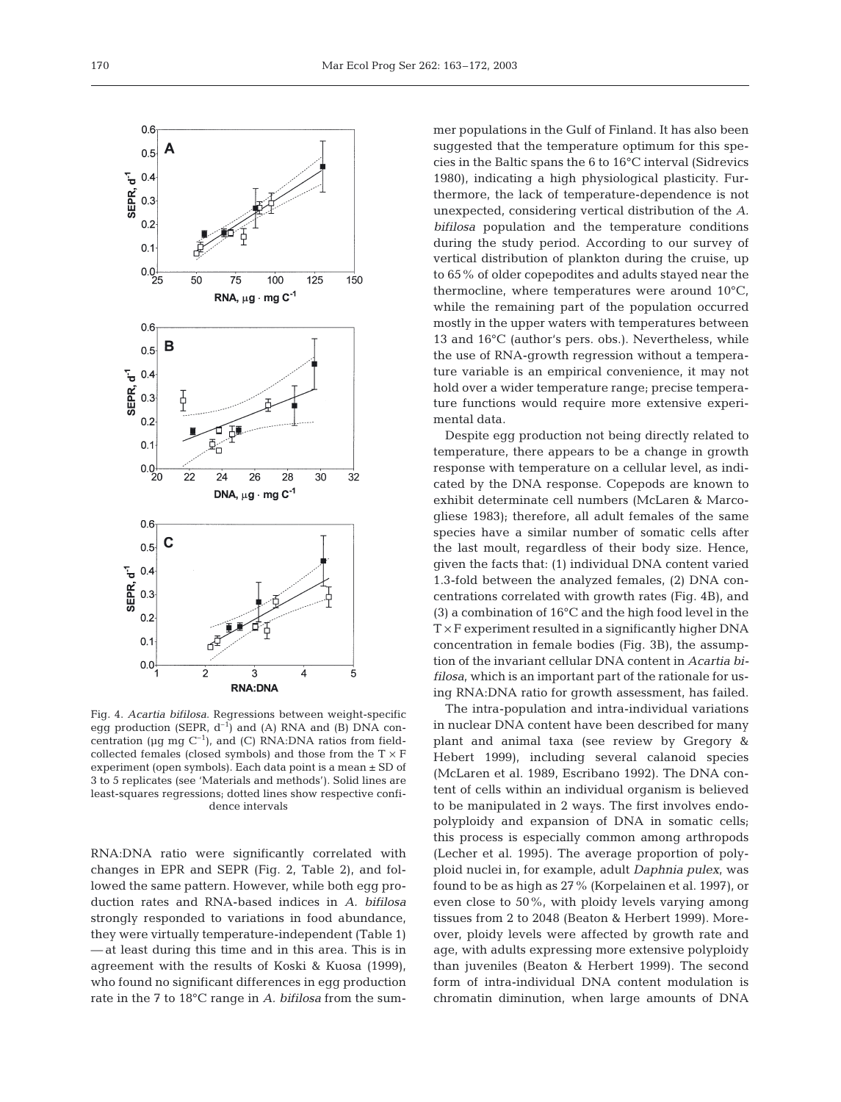

Fig. 4. *Acartia bifilosa*. Regressions between weight-specific egg production (SEPR,  $d^{-1}$ ) and (A) RNA and (B) DNA concentration ( $\mu$ g mg C<sup>-1</sup>), and (C) RNA:DNA ratios from fieldcollected females (closed symbols) and those from the  $T \times F$ experiment (open symbols). Each data point is a mean ± SD of 3 to 5 replicates (see 'Materials and methods'). Solid lines are least-squares regressions; dotted lines show respective confidence intervals

RNA:DNA ratio were significantly correlated with changes in EPR and SEPR (Fig. 2, Table 2), and followed the same pattern. However, while both egg production rates and RNA-based indices in *A. bifilosa* strongly responded to variations in food abundance, they were virtually temperature-independent (Table 1) — at least during this time and in this area. This is in agreement with the results of Koski & Kuosa (1999), who found no significant differences in egg production rate in the 7 to 18°C range in *A. bifilosa* from the summer populations in the Gulf of Finland. It has also been suggested that the temperature optimum for this species in the Baltic spans the 6 to 16°C interval (Sidrevics 1980), indicating a high physiological plasticity. Furthermore, the lack of temperature-dependence is not unexpected, considering vertical distribution of the *A. bifilosa* population and the temperature conditions during the study period. According to our survey of vertical distribution of plankton during the cruise, up to 65% of older copepodites and adults stayed near the thermocline, where temperatures were around 10°C, while the remaining part of the population occurred mostly in the upper waters with temperatures between 13 and 16°C (author's pers. obs.). Nevertheless, while the use of RNA-growth regression without a temperature variable is an empirical convenience, it may not hold over a wider temperature range; precise temperature functions would require more extensive experimental data.

Despite egg production not being directly related to temperature, there appears to be a change in growth response with temperature on a cellular level, as indicated by the DNA response. Copepods are known to exhibit determinate cell numbers (McLaren & Marcogliese 1983); therefore, all adult females of the same species have a similar number of somatic cells after the last moult, regardless of their body size. Hence, given the facts that: (1) individual DNA content varied 1.3-fold between the analyzed females, (2) DNA concentrations correlated with growth rates (Fig. 4B), and (3) a combination of 16°C and the high food level in the  $T \times F$  experiment resulted in a significantly higher DNA concentration in female bodies (Fig. 3B), the assumption of the invariant cellular DNA content in *Acartia bifilosa*, which is an important part of the rationale for using RNA:DNA ratio for growth assessment, has failed.

The intra-population and intra-individual variations in nuclear DNA content have been described for many plant and animal taxa (see review by Gregory & Hebert 1999), including several calanoid species (McLaren et al. 1989, Escribano 1992). The DNA content of cells within an individual organism is believed to be manipulated in 2 ways. The first involves endopolyploidy and expansion of DNA in somatic cells; this process is especially common among arthropods (Lecher et al. 1995). The average proportion of polyploid nuclei in, for example, adult *Daphnia pulex*, was found to be as high as 27% (Korpelainen et al. 1997), or even close to 50%, with ploidy levels varying among tissues from 2 to 2048 (Beaton & Herbert 1999). Moreover, ploidy levels were affected by growth rate and age, with adults expressing more extensive polyploidy than juveniles (Beaton & Herbert 1999). The second form of intra-individual DNA content modulation is chromatin diminution, when large amounts of DNA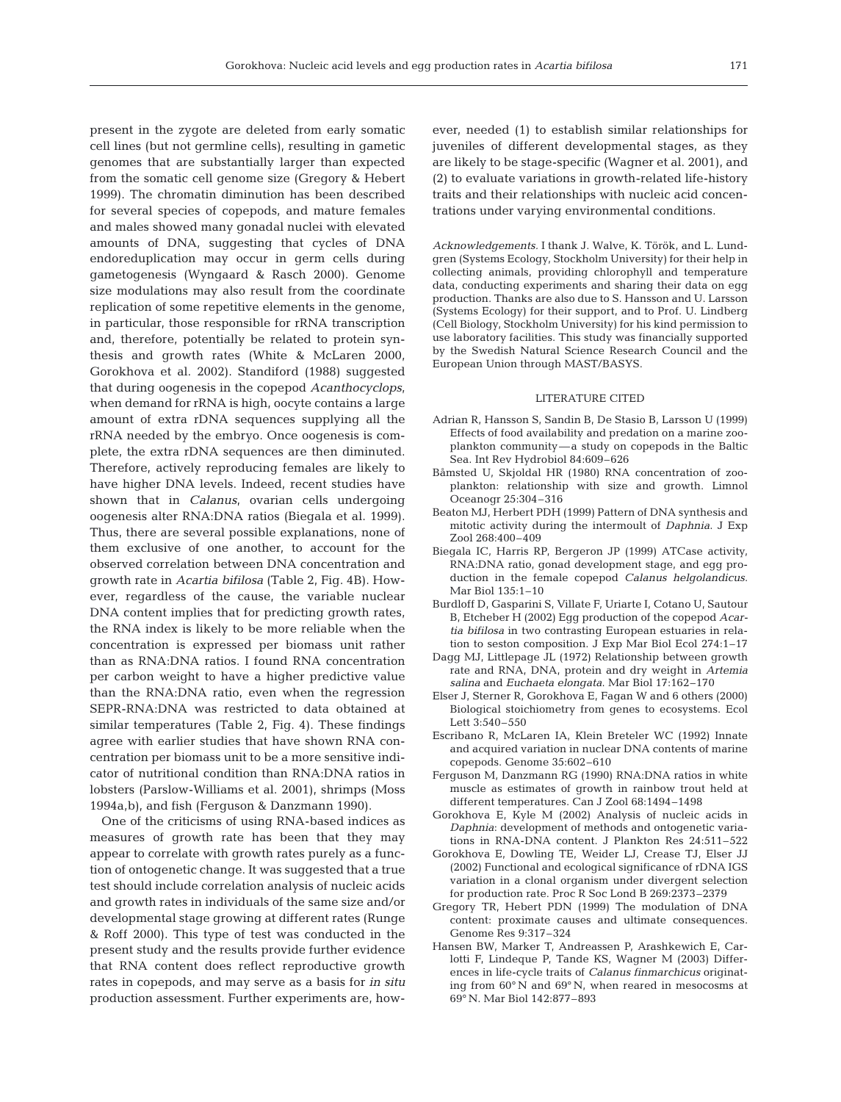present in the zygote are deleted from early somatic cell lines (but not germline cells), resulting in gametic genomes that are substantially larger than expected from the somatic cell genome size (Gregory & Hebert 1999). The chromatin diminution has been described for several species of copepods, and mature females and males showed many gonadal nuclei with elevated amounts of DNA, suggesting that cycles of DNA endoreduplication may occur in germ cells during gametogenesis (Wyngaard & Rasch 2000). Genome size modulations may also result from the coordinate replication of some repetitive elements in the genome, in particular, those responsible for rRNA transcription and, therefore, potentially be related to protein synthesis and growth rates (White & McLaren 2000, Gorokhova et al. 2002). Standiford (1988) suggested that during oogenesis in the copepod *Acanthocyclops*, when demand for rRNA is high, oocyte contains a large amount of extra rDNA sequences supplying all the rRNA needed by the embryo. Once oogenesis is complete, the extra rDNA sequences are then diminuted. Therefore, actively reproducing females are likely to have higher DNA levels. Indeed, recent studies have shown that in *Calanus*, ovarian cells undergoing oogenesis alter RNA:DNA ratios (Biegala et al. 1999). Thus, there are several possible explanations, none of them exclusive of one another, to account for the observed correlation between DNA concentration and growth rate in *Acartia bifilosa* (Table 2, Fig. 4B). However, regardless of the cause, the variable nuclear DNA content implies that for predicting growth rates, the RNA index is likely to be more reliable when the concentration is expressed per biomass unit rather than as RNA:DNA ratios. I found RNA concentration per carbon weight to have a higher predictive value than the RNA:DNA ratio, even when the regression SEPR-RNA:DNA was restricted to data obtained at similar temperatures (Table 2, Fig. 4). These findings agree with earlier studies that have shown RNA concentration per biomass unit to be a more sensitive indicator of nutritional condition than RNA:DNA ratios in lobsters (Parslow-Williams et al. 2001), shrimps (Moss 1994a,b), and fish (Ferguson & Danzmann 1990).

One of the criticisms of using RNA-based indices as measures of growth rate has been that they may appear to correlate with growth rates purely as a function of ontogenetic change. It was suggested that a true test should include correlation analysis of nucleic acids and growth rates in individuals of the same size and/or developmental stage growing at different rates (Runge & Roff 2000). This type of test was conducted in the present study and the results provide further evidence that RNA content does reflect reproductive growth rates in copepods, and may serve as a basis for *in situ* production assessment. Further experiments are, how-

ever, needed (1) to establish similar relationships for juveniles of different developmental stages, as they are likely to be stage-specific (Wagner et al. 2001), and (2) to evaluate variations in growth-related life-history traits and their relationships with nucleic acid concentrations under varying environmental conditions.

*Acknowledgements.* I thank J. Walve, K. Török, and L. Lundgren (Systems Ecology, Stockholm University) for their help in collecting animals, providing chlorophyll and temperature data, conducting experiments and sharing their data on egg production. Thanks are also due to S. Hansson and U. Larsson (Systems Ecology) for their support, and to Prof. U. Lindberg (Cell Biology, Stockholm University) for his kind permission to use laboratory facilities. This study was financially supported by the Swedish Natural Science Research Council and the European Union through MAST/BASYS.

#### LITERATURE CITED

- Adrian R, Hansson S, Sandin B, De Stasio B, Larsson U (1999) Effects of food availability and predation on a marine zooplankton community—a study on copepods in the Baltic Sea. Int Rev Hydrobiol 84:609–626
- Båmsted U, Skjoldal HR (1980) RNA concentration of zooplankton: relationship with size and growth. Limnol Oceanogr 25:304–316
- Beaton MJ, Herbert PDH (1999) Pattern of DNA synthesis and mitotic activity during the intermoult of *Daphnia*. J Exp Zool 268:400–409
- Biegala IC, Harris RP, Bergeron JP (1999) ATCase activity, RNA:DNA ratio, gonad development stage, and egg production in the female copepod *Calanus helgolandicus*. Mar Biol 135:1–10
- Burdloff D, Gasparini S, Villate F, Uriarte I, Cotano U, Sautour B, Etcheber H (2002) Egg production of the copepod *Acartia bifilosa* in two contrasting European estuaries in relation to seston composition. J Exp Mar Biol Ecol 274:1–17
- Dagg MJ, Littlepage JL (1972) Relationship between growth rate and RNA, DNA, protein and dry weight in *Artemia salina* and *Euchaeta elongata*. Mar Biol 17:162–170
- Elser J, Sterner R, Gorokhova E, Fagan W and 6 others (2000) Biological stoichiometry from genes to ecosystems. Ecol Lett 3:540–550
- Escribano R, McLaren IA, Klein Breteler WC (1992) Innate and acquired variation in nuclear DNA contents of marine copepods. Genome 35:602–610
- Ferguson M, Danzmann RG (1990) RNA:DNA ratios in white muscle as estimates of growth in rainbow trout held at different temperatures. Can J Zool 68:1494–1498
- Gorokhova E, Kyle M (2002) Analysis of nucleic acids in *Daphnia*: development of methods and ontogenetic variations in RNA-DNA content. J Plankton Res 24:511–522
- Gorokhova E, Dowling TE, Weider LJ, Crease TJ, Elser JJ (2002) Functional and ecological significance of rDNA IGS variation in a clonal organism under divergent selection for production rate. Proc R Soc Lond B 269:2373–2379
- Gregory TR, Hebert PDN (1999) The modulation of DNA content: proximate causes and ultimate consequences. Genome Res 9:317–324
- Hansen BW, Marker T, Andreassen P, Arashkewich E, Carlotti F, Lindeque P, Tande KS, Wagner M (2003) Differences in life-cycle traits of *Calanus finmarchicus* originating from 60° N and 69° N, when reared in mesocosms at 69° N. Mar Biol 142:877–893